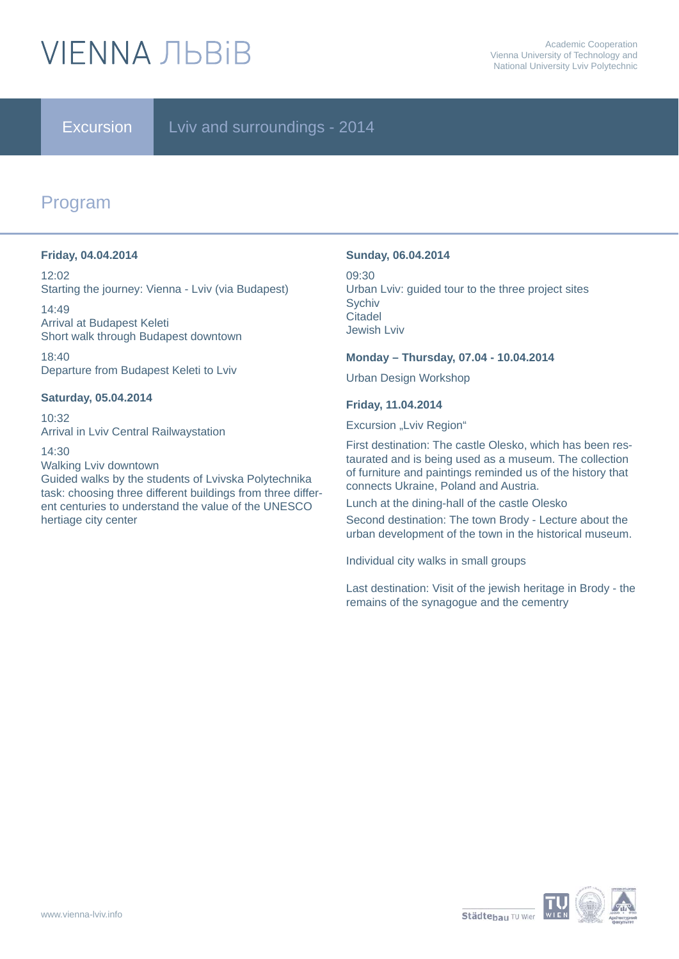# **VIFNNA JIBRIB**

### Excursion Lviv and surroundings - 2014

## Program

### **Friday, 04.04.2014**

12:02 Starting the journey: Vienna - Lviv (via Budapest)

14:49 Arrival at Budapest Keleti Short walk through Budapest downtown

18:40 Departure from Budapest Keleti to Lviv

### **Saturday, 05.04.2014**

10:32 Arrival in Lviv Central Railwaystation

14:30

Walking Lviv downtown

Guided walks by the students of Lvivska Polytechnika task: choosing three different buildings from three different centuries to understand the value of the UNESCO hertiage city center

### **Sunday, 06.04.2014**

09:30 Urban Lviv: guided tour to the three project sites **Sychiv Citadel** Jewish Lviv

### **Monday – Thursday, 07.04 - 10.04.2014**

Urban Design Workshop

### **Friday, 11.04.2014**

Excursion "Lviv Region"

First destination: The castle Olesko, which has been restaurated and is being used as a museum. The collection of furniture and paintings reminded us of the history that connects Ukraine, Poland and Austria.

Lunch at the dining-hall of the castle Olesko

Second destination: The town Brody - Lecture about the urban development of the town in the historical museum.

Individual city walks in small groups

Last destination: Visit of the jewish heritage in Brody - the remains of the synagogue and the cementry